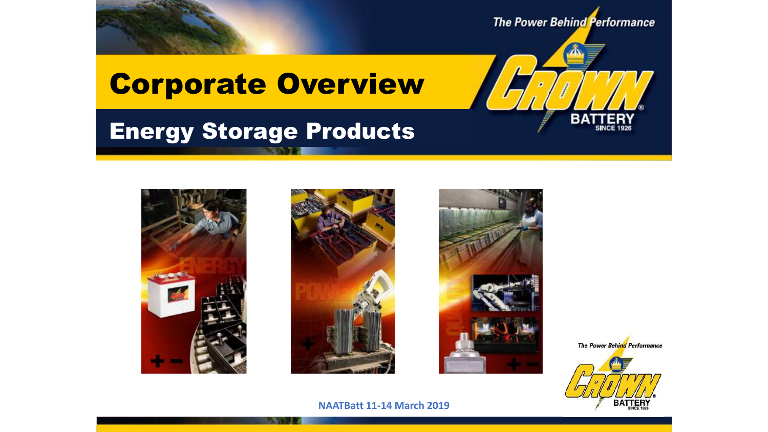

### Energy Storage Products







The Power Behind Performance



в.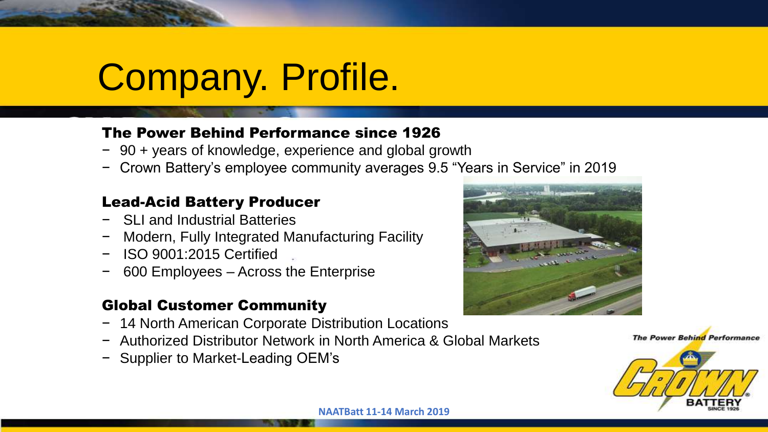# Company. Profile.

#### The Power Behind Performance since 1926

- − 90 + years of knowledge, experience and global growth
- − Crown Battery's employee community averages 9.5 "Years in Service" in 2019

#### Lead-Acid Battery Producer

- − SLI and Industrial Batteries
- − Modern, Fully Integrated Manufacturing Facility
- − ISO 9001:2015 Certified
- − 600 Employees Across the Enterprise

#### Global Customer Community

- − 14 North American Corporate Distribution Locations
- − Authorized Distributor Network in North America & Global Markets
- − Supplier to Market-Leading OEM's



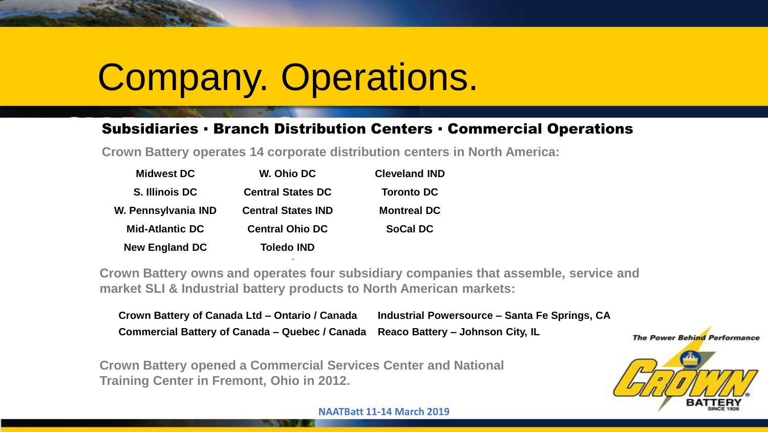## Company. Operations.

#### Subsidiaries ▪ Branch Distribution Centers ▪ Commercial Operations

**Crown Battery operates 14 corporate distribution centers in North America:**

| <b>Midwest DC</b>      | W. Ohio DC                | <b>Cleveland IND</b> |
|------------------------|---------------------------|----------------------|
| S. Illinois DC         | <b>Central States DC</b>  | <b>Toronto DC</b>    |
| W. Pennsylvania IND    | <b>Central States IND</b> | <b>Montreal DC</b>   |
| <b>Mid-Atlantic DC</b> | <b>Central Ohio DC</b>    | <b>SoCal DC</b>      |
| <b>New England DC</b>  | <b>Toledo IND</b>         |                      |

**Crown Battery owns and operates four subsidiary companies that assemble, service and market SLI & Industrial battery products to North American markets:**

| Crown Battery of Canada Ltd - Ontario / Canada                                  | Industrial Powersource – Santa Fe Springs, CA |
|---------------------------------------------------------------------------------|-----------------------------------------------|
| Commercial Battery of Canada - Quebec / Canada Reaco Battery - Johnson City, IL |                                               |

**Crown Battery opened a Commercial Services Center and National Training Center in Fremont, Ohio in 2012.**

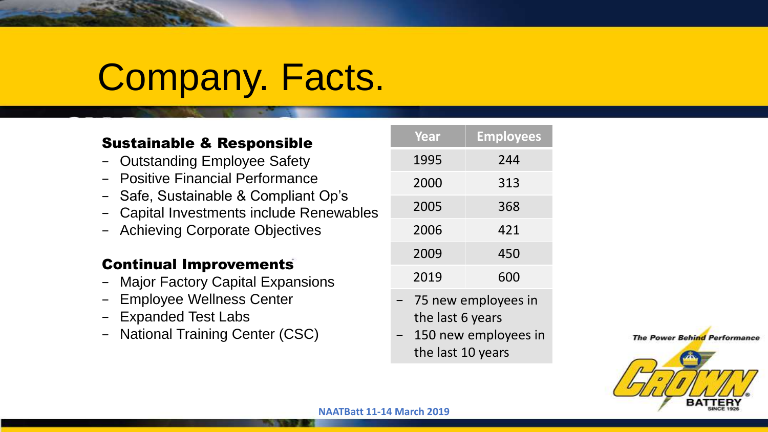# Company. Facts.

#### Sustainable & Responsible

- − Outstanding Employee Safety
- − Positive Financial Performance
- − Safe, Sustainable & Compliant Op's
- − Capital Investments include Renewables
- − Achieving Corporate Objectives

#### Continual Improvements

- − Major Factory Capital Expansions
- Employee Wellness Center
- − Expanded Test Labs
- − National Training Center (CSC)

| Year | <b>Employees</b> |
|------|------------------|
| 1995 | 244              |
| 2000 | 313              |
| 2005 | 368              |
| 2006 | 421              |
| 2009 | 450              |
| 2019 | 600              |

- − 75 new employees in the last 6 years
- 150 new employees in the last 10 years

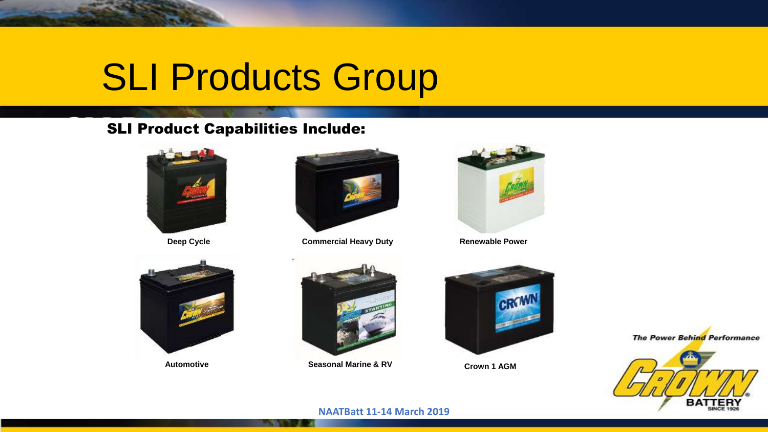# SLI Products Group

#### SLI Product Capabilities Include:





**Deep Cycle Commercial Heavy Duty** 



**Renewable Power**



**Automotive**



**Seasonal Marine & RV Crown 1 AGM** 





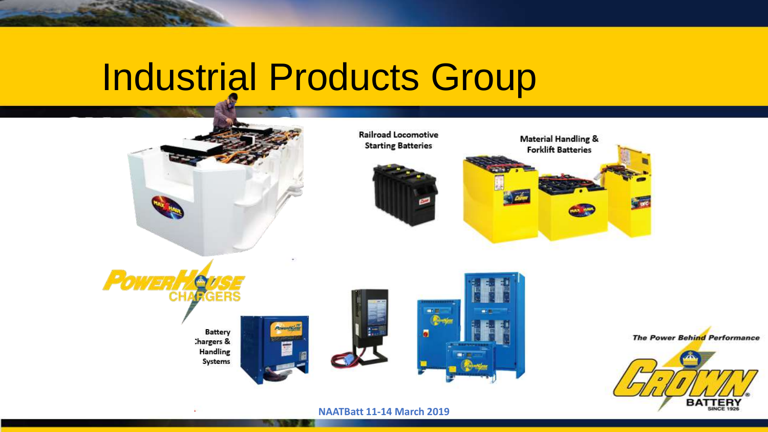### Industrial Products Group

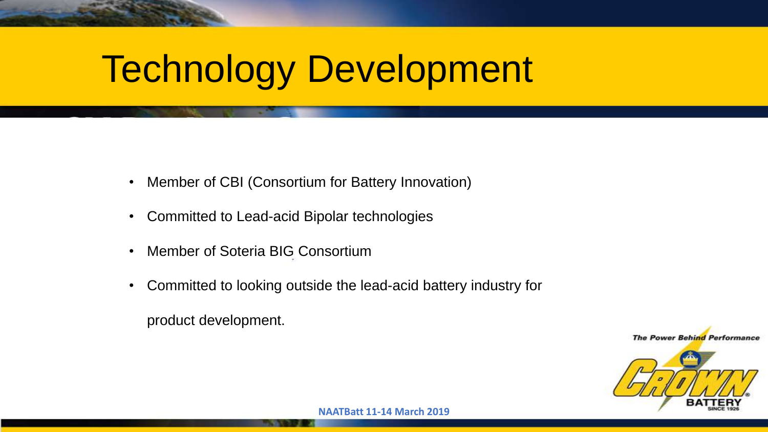## Technology Development

- Member of CBI (Consortium for Battery Innovation)
- Committed to Lead-acid Bipolar technologies
- Member of Soteria BIG Consortium
- Committed to looking outside the lead-acid battery industry for

product development.